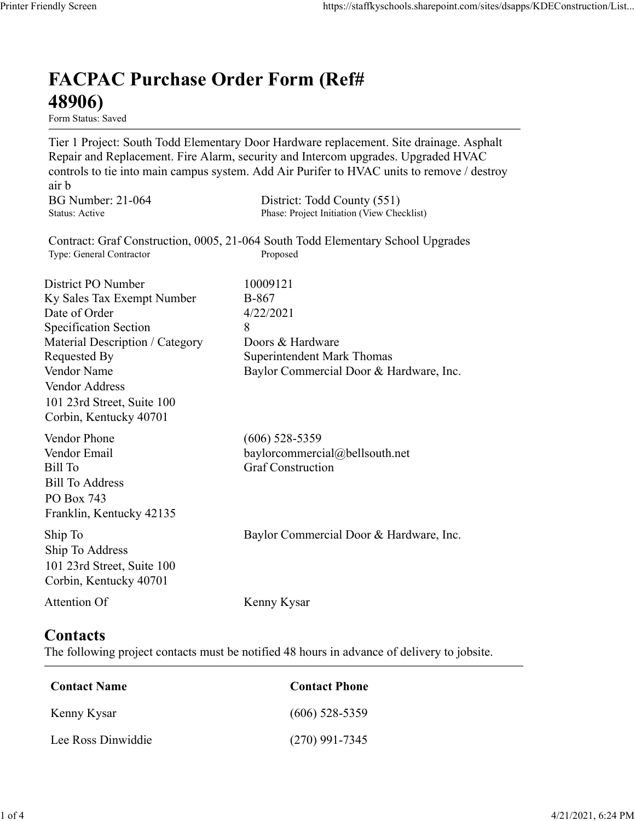## FACPAC Purchase Order Form (Ref# 48906)

Form Status: Saved

Tier 1 Project: South Todd Elementary Door Hardware replacement. Site drainage. Asphalt Repair and Replacement. Fire Alarm, security and Intercom upgrades. Upgraded HVAC controls to tie into main campus system. Add Air Purifer to HVAC units to remove / destroy air b https://staffkyschools.sharepoint.com/sites/dsapps/KDEConstructic<br> **FACPAC Purchase Order Form (Ref#**<br> **FERIORE PURCHASE Order Form (Ref#**<br>
Tier 1 Project: South Todd Elementary Door Hardware replacement. Site drainage. As https://staffkyschools.sharepoint.com/sites/dsapps/KDEConstructic<br> **FACPAC Purchase Order Form (Ref#**<br> **48906)**<br>
Form Status: Saved<br>
Fire 1 Project: South Todd Elementary Door Hardware replacement. Site drainage. Asphalt<br> Contract: Graf Construction, 0005, 21-064 South Todd Elementary School Upgrades https://staffkyschools.sharepoint.com/sites/dsarps/KDFConstructic<br> **FACPAC Purchase Order Form (Ref#**<br>
Form Status: Saved<br>
Form Status: Saved<br>
Terp 1 Project: South Todd Elementary Door Hardware replacement. Site drainage. **FACPAC Purchase Order Form (Ref#**<br> **48906)**<br> **Form Status:** Saved<br> **Tier 1 Project: South Todd Elementary Door Hardware replacement. Site drainage. Asphalt<br>
Repair and Replacement. Fire Alarm, security and Intercom upgra FACPAC Purchase Order Form (Ref#**<br> **48906)**<br> **Eom Stans:** Saved<br> **Eom Stans:** Saved<br> **Repair and Replacement. Fire Alarm, security and Intercom upgrades. Upgraded HVAC<br>
<b>Controls to tie into main campus system.** Add Air **FACPAC Purchase Order Form (Ref#** $\bf{48906}$ <br>
Form Status: Saved<br>
Tier 1 Project: South Todd Elementary Door Hardware replacement. Site drainage. Asphalt<br>
Tier 1 Project: South Todd Elementary Door Hardware replacement. **FACPAC Purchase Order Form (Ref#**<br> **48906)**<br>
Form Status: Saved<br>
Tier 1 Project: South Todd Elementary Door Hardware replacement. Site drainage. Asphalt<br>
Repair and Replacement. Fire Alarm, security and Intercom upgrades **FACPAC Purchase Order Form (Ref#**<br> **489066)**<br>
Form States Saved<br>
Term Frequences<br>
Term Description Todd Elementary Door Hardware replacement. Site drainage. Asphalt<br>
Tespair and Replacement. Fire Alarm, security and Inte **48906)**<br>
Form Status: Saved<br>
Tier 1 Project: South Todd Elementary Door Hardware replacement. Site drainage. Asphalt<br>
Repair and Replacement. Fire Alarm, security and Intercom upgrades. Upgraded HVAC<br>
econtrols to tie in **From Status:** Saved<br> **Form Status:** Saved<br>
Tree T Project: South Todd Elementary Door Hardware replacement. Site drainage. Asphalt<br>
Repair and Replacement. Fire Alarm, security and Intercom upgrades. Upgraded HVAC<br>
entroi Vendor Address 101 23rd Street, Suite 100 Corbin, Kentucky 40701 controls to the into main campus system. Add Air Puriter to HVAC units to remove / destroy<br>
air b<br>
air b<br>
BG Number: 21-064 District: Todd County (551)<br>
Status: Active<br>
Contract: Graf Construction, 0005, 21-064 South Todd ar b<br>
BG Number: 21-064 District: Todd County (551)<br>
Status: Active<br>
Status: Active<br>
Contract: Graf Construction, 0005, 21-064 South Todd Elementary School Upgrades<br>
Type: General Contractor<br>
District PO Number<br>
District P BG Number: 21-064<br>
Bill To Construction, 0005, 21-064 Construction (View Checkliss)<br>
Contract: Graf Construction, 0005, 21-064 South Todd Elementary School Upgrades<br>
Type: General Contractor<br>
District PO Number<br>
District P Bill To Address PO Box 743 Franklin, Kentucky 42135 District PO Number<br>
IS Solve To Commercial Dascription<br>
Specification Section<br>
Specification Section<br>
Secretical Description / Category<br>
Material Description / Category<br>
Nondor Name<br>
Nendor Commercial Door & Hardware, Inc. Ship To Address 101 23rd Street, Suite 100 Corbin, Kentucky 40701 Material Description / Category<br>
Requested By<br>
Requested By<br>
Romercial Door & Hardware, Inc.<br>
Vendor Address<br>
Vendor Address<br>
Orbin, Kentucky 40701<br>
19.1 23rd Street, Suite 100<br>
Wendor Phone<br>
(606) 528-5359<br>
Vendor Phone<br> **Contacts** Contact Name<br>
Conditional Contact Phone<br>
Contact Phone<br>
Exil To Address<br>
Contact Sill To Address<br>
Contact Construction<br>
In To Address<br>
In To Address<br>
In To Address<br>
District, Suite 100<br>
Contact Name<br>
Contact S<br>
the follow Vendor Email<br>
Itil To<br>
Itil To<br>
Itil To<br>
Sull To<br>
Itil To<br>
Sull To<br>
Address<br>
To<br>
Do Dox 743<br>
In p To<br>
In To<br>
In To<br>
In To<br>
Sull Strucky 42135<br>
In To<br>
Do 23rd Strucky 40701<br>
Itention Of<br>
Nenny Kysar<br> **Contact Server, Sullar** Sill To Address<br>
Co Box 743<br>
Yalkin, Kentucky 42135<br>
hip To<br>
Tranklin, Kentucky 42135<br>
hip To Address<br>
hip To Address<br>
hip To Address<br>
Don 12316 Street, Suite 100<br>
Orbin, Kentucky 40701<br>
Lee Ross Dinwiddie<br>
Contact Name<br>
C

The following project contacts must be notified 48 hours in advance of delivery to jobsite.

| Contact Name       | <b>Contact Phone</b> |
|--------------------|----------------------|
| Kenny Kysar        | $(606)$ 528-5359     |
| Lee Ross Dinwiddie | $(270)$ 991-7345     |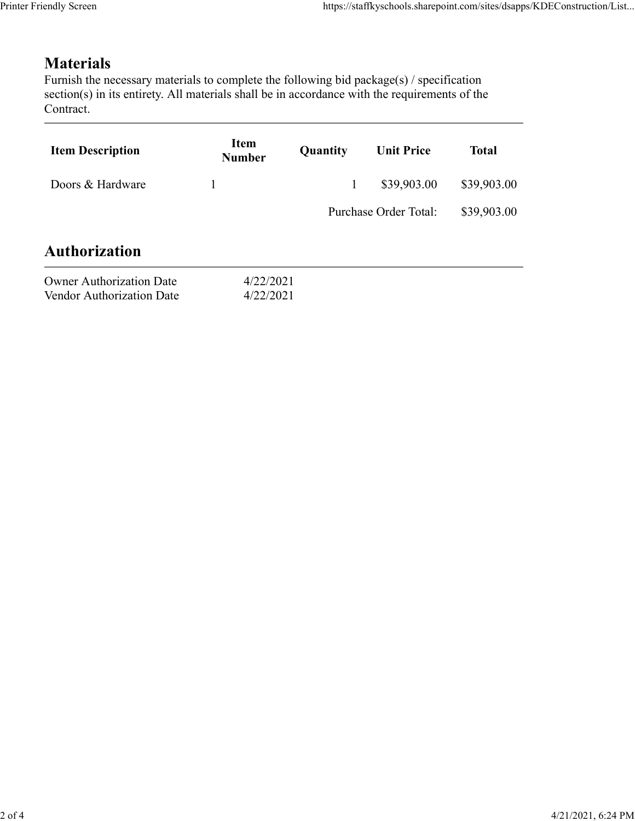## Materials

| endly Screen                                                                                                                                                                                                               |                              |              | https://staffkyschools.sharepoint.com/sites/dsapps/KDEConstruction/List |              |
|----------------------------------------------------------------------------------------------------------------------------------------------------------------------------------------------------------------------------|------------------------------|--------------|-------------------------------------------------------------------------|--------------|
|                                                                                                                                                                                                                            |                              |              |                                                                         |              |
| <b>Materials</b><br>Furnish the necessary materials to complete the following bid package(s) / specification<br>section(s) in its entirety. All materials shall be in accordance with the requirements of the<br>Contract. |                              |              |                                                                         |              |
| <b>Item Description</b>                                                                                                                                                                                                    | <b>Item</b><br><b>Number</b> | Quantity     | <b>Unit Price</b>                                                       | <b>Total</b> |
| Doors & Hardware                                                                                                                                                                                                           | $\mathbf{1}$                 | $\mathbf{1}$ | \$39,903.00                                                             | \$39,903.00  |
|                                                                                                                                                                                                                            |                              |              | Purchase Order Total:                                                   | \$39,903.00  |
| <b>Authorization</b>                                                                                                                                                                                                       |                              |              |                                                                         |              |
| <b>Owner Authorization Date</b><br>Vendor Authorization Date                                                                                                                                                               | 4/22/2021<br>4/22/2021       |              |                                                                         |              |
|                                                                                                                                                                                                                            |                              |              |                                                                         |              |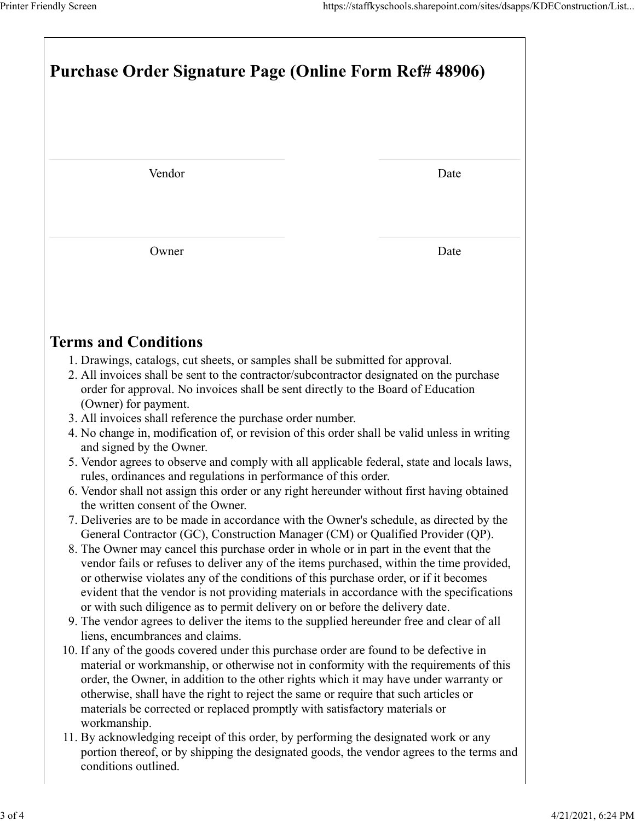| Printer Friendly Screen                                                                                                                                                                                                                                                        | https://staffkyschools.sharepoint.com/sites/dsapps/KDEConstruction/List |  |  |
|--------------------------------------------------------------------------------------------------------------------------------------------------------------------------------------------------------------------------------------------------------------------------------|-------------------------------------------------------------------------|--|--|
|                                                                                                                                                                                                                                                                                |                                                                         |  |  |
|                                                                                                                                                                                                                                                                                |                                                                         |  |  |
| Purchase Order Signature Page (Online Form Ref# 48906)                                                                                                                                                                                                                         |                                                                         |  |  |
|                                                                                                                                                                                                                                                                                |                                                                         |  |  |
|                                                                                                                                                                                                                                                                                |                                                                         |  |  |
| Vendor                                                                                                                                                                                                                                                                         | Date                                                                    |  |  |
| Owner                                                                                                                                                                                                                                                                          | Date                                                                    |  |  |
|                                                                                                                                                                                                                                                                                |                                                                         |  |  |
| <b>Terms and Conditions</b>                                                                                                                                                                                                                                                    |                                                                         |  |  |
| 1. Drawings, catalogs, cut sheets, or samples shall be submitted for approval.<br>2. All invoices shall be sent to the contractor/subcontractor designated on the purchase<br>order for approval. No invoices shall be sent directly to the Board of Education                 |                                                                         |  |  |
| (Owner) for payment.<br>3. All invoices shall reference the purchase order number.<br>4. No change in, modification of, or revision of this order shall be valid unless in writing                                                                                             |                                                                         |  |  |
| and signed by the Owner.<br>5. Vendor agrees to observe and comply with all applicable federal, state and locals laws,<br>rules, ordinances and regulations in performance of this order.                                                                                      |                                                                         |  |  |
| 6. Vendor shall not assign this order or any right hereunder without first having obtained<br>the written consent of the Owner.<br>7. Deliveries are to be made in accordance with the Owner's schedule, as directed by the                                                    |                                                                         |  |  |
| General Contractor (GC), Construction Manager (CM) or Qualified Provider (QP).<br>8. The Owner may cancel this purchase order in whole or in part in the event that the                                                                                                        |                                                                         |  |  |
| vendor fails or refuses to deliver any of the items purchased, within the time provided,<br>or otherwise violates any of the conditions of this purchase order, or if it becomes                                                                                               |                                                                         |  |  |
| evident that the vendor is not providing materials in accordance with the specifications<br>or with such diligence as to permit delivery on or before the delivery date.                                                                                                       |                                                                         |  |  |
|                                                                                                                                                                                                                                                                                |                                                                         |  |  |
| 9. The vendor agrees to deliver the items to the supplied hereunder free and clear of all<br>liens, encumbrances and claims.<br>10. If any of the goods covered under this purchase order are found to be defective in                                                         |                                                                         |  |  |
| material or workmanship, or otherwise not in conformity with the requirements of this<br>order, the Owner, in addition to the other rights which it may have under warranty or<br>otherwise, shall have the right to reject the same or require that such articles or          |                                                                         |  |  |
| materials be corrected or replaced promptly with satisfactory materials or<br>workmanship.<br>11. By acknowledging receipt of this order, by performing the designated work or any<br>portion thereof, or by shipping the designated goods, the vendor agrees to the terms and |                                                                         |  |  |